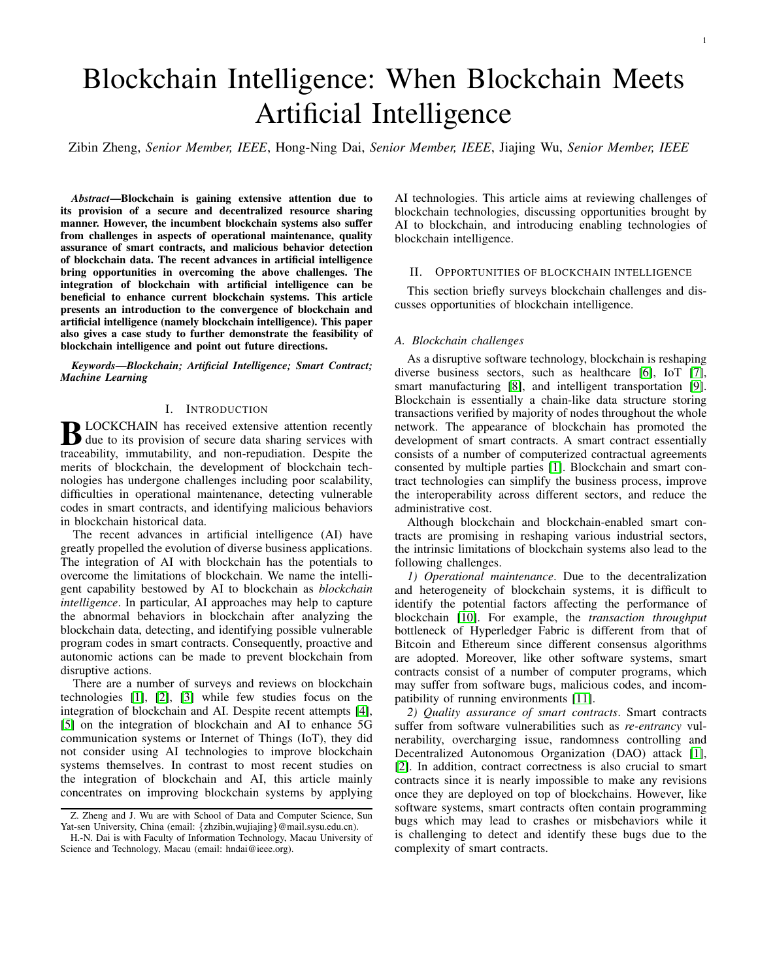# Blockchain Intelligence: When Blockchain Meets Artificial Intelligence

Zibin Zheng, *Senior Member, IEEE*, Hong-Ning Dai, *Senior Member, IEEE*, Jiajing Wu, *Senior Member, IEEE*

*Abstract*—Blockchain is gaining extensive attention due to its provision of a secure and decentralized resource sharing manner. However, the incumbent blockchain systems also suffer from challenges in aspects of operational maintenance, quality assurance of smart contracts, and malicious behavior detection of blockchain data. The recent advances in artificial intelligence bring opportunities in overcoming the above challenges. The integration of blockchain with artificial intelligence can be beneficial to enhance current blockchain systems. This article presents an introduction to the convergence of blockchain and artificial intelligence (namely blockchain intelligence). This paper also gives a case study to further demonstrate the feasibility of blockchain intelligence and point out future directions.

*Keywords*—*Blockchain; Artificial Intelligence; Smart Contract; Machine Learning*

## I. INTRODUCTION

**B** LOCKCHAIN has received extensive attention recently<br>due to its provision of secure data sharing services with due to its provision of secure data sharing services with traceability, immutability, and non-repudiation. Despite the merits of blockchain, the development of blockchain technologies has undergone challenges including poor scalability, difficulties in operational maintenance, detecting vulnerable codes in smart contracts, and identifying malicious behaviors in blockchain historical data.

The recent advances in artificial intelligence (AI) have greatly propelled the evolution of diverse business applications. The integration of AI with blockchain has the potentials to overcome the limitations of blockchain. We name the intelligent capability bestowed by AI to blockchain as *blockchain intelligence*. In particular, AI approaches may help to capture the abnormal behaviors in blockchain after analyzing the blockchain data, detecting, and identifying possible vulnerable program codes in smart contracts. Consequently, proactive and autonomic actions can be made to prevent blockchain from disruptive actions.

There are a number of surveys and reviews on blockchain technologies [\[1\]](#page-2-0), [\[2\]](#page-2-1), [\[3\]](#page-2-2) while few studies focus on the integration of blockchain and AI. Despite recent attempts [\[4\]](#page-2-3), [\[5\]](#page-2-4) on the integration of blockchain and AI to enhance 5G communication systems or Internet of Things (IoT), they did not consider using AI technologies to improve blockchain systems themselves. In contrast to most recent studies on the integration of blockchain and AI, this article mainly concentrates on improving blockchain systems by applying AI technologies. This article aims at reviewing challenges of blockchain technologies, discussing opportunities brought by AI to blockchain, and introducing enabling technologies of blockchain intelligence.

## II. OPPORTUNITIES OF BLOCKCHAIN INTELLIGENCE

This section briefly surveys blockchain challenges and discusses opportunities of blockchain intelligence.

# *A. Blockchain challenges*

As a disruptive software technology, blockchain is reshaping diverse business sectors, such as healthcare [\[6\]](#page-2-5), IoT [\[7\]](#page-2-6), smart manufacturing [\[8\]](#page-2-7), and intelligent transportation [\[9\]](#page-2-8). Blockchain is essentially a chain-like data structure storing transactions verified by majority of nodes throughout the whole network. The appearance of blockchain has promoted the development of smart contracts. A smart contract essentially consists of a number of computerized contractual agreements consented by multiple parties [\[1\]](#page-2-0). Blockchain and smart contract technologies can simplify the business process, improve the interoperability across different sectors, and reduce the administrative cost.

Although blockchain and blockchain-enabled smart contracts are promising in reshaping various industrial sectors, the intrinsic limitations of blockchain systems also lead to the following challenges.

*1) Operational maintenance*. Due to the decentralization and heterogeneity of blockchain systems, it is difficult to identify the potential factors affecting the performance of blockchain [\[10\]](#page-3-0). For example, the *transaction throughput* bottleneck of Hyperledger Fabric is different from that of Bitcoin and Ethereum since different consensus algorithms are adopted. Moreover, like other software systems, smart contracts consist of a number of computer programs, which may suffer from software bugs, malicious codes, and incompatibility of running environments [\[11\]](#page-3-1).

*2) Quality assurance of smart contracts*. Smart contracts suffer from software vulnerabilities such as *re-entrancy* vulnerability, overcharging issue, randomness controlling and Decentralized Autonomous Organization (DAO) attack [\[1\]](#page-2-0), [\[2\]](#page-2-1). In addition, contract correctness is also crucial to smart contracts since it is nearly impossible to make any revisions once they are deployed on top of blockchains. However, like software systems, smart contracts often contain programming bugs which may lead to crashes or misbehaviors while it is challenging to detect and identify these bugs due to the complexity of smart contracts.

Z. Zheng and J. Wu are with School of Data and Computer Science, Sun Yat-sen University, China (email: {zhzibin,wujiajing}@mail.sysu.edu.cn).

H.-N. Dai is with Faculty of Information Technology, Macau University of Science and Technology, Macau (email: hndai@ieee.org).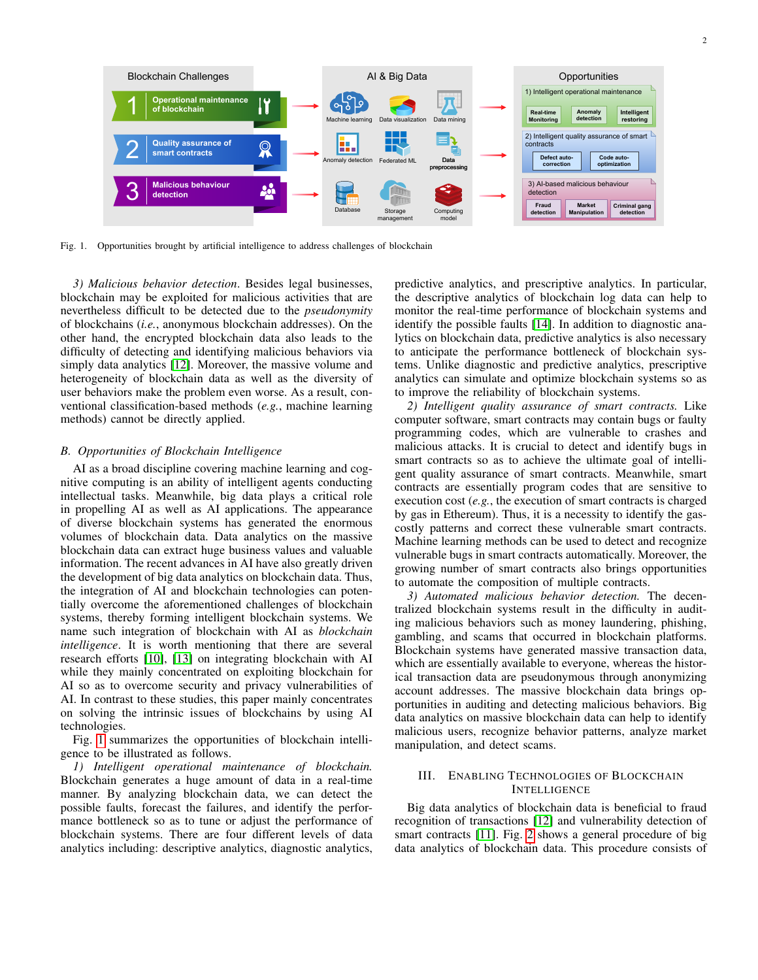

<span id="page-1-0"></span>Fig. 1. Opportunities brought by artificial intelligence to address challenges of blockchain

*3) Malicious behavior detection*. Besides legal businesses, blockchain may be exploited for malicious activities that are nevertheless difficult to be detected due to the *pseudonymity* of blockchains (*i.e.*, anonymous blockchain addresses). On the other hand, the encrypted blockchain data also leads to the difficulty of detecting and identifying malicious behaviors via simply data analytics [\[12\]](#page-3-2). Moreover, the massive volume and heterogeneity of blockchain data as well as the diversity of user behaviors make the problem even worse. As a result, conventional classification-based methods (*e.g.*, machine learning methods) cannot be directly applied.

#### *B. Opportunities of Blockchain Intelligence*

AI as a broad discipline covering machine learning and cognitive computing is an ability of intelligent agents conducting intellectual tasks. Meanwhile, big data plays a critical role in propelling AI as well as AI applications. The appearance of diverse blockchain systems has generated the enormous volumes of blockchain data. Data analytics on the massive blockchain data can extract huge business values and valuable information. The recent advances in AI have also greatly driven the development of big data analytics on blockchain data. Thus, the integration of AI and blockchain technologies can potentially overcome the aforementioned challenges of blockchain systems, thereby forming intelligent blockchain systems. We name such integration of blockchain with AI as *blockchain intelligence*. It is worth mentioning that there are several research efforts [\[10\]](#page-3-0), [\[13\]](#page-3-3) on integrating blockchain with AI while they mainly concentrated on exploiting blockchain for AI so as to overcome security and privacy vulnerabilities of AI. In contrast to these studies, this paper mainly concentrates on solving the intrinsic issues of blockchains by using AI technologies.

Fig. [1](#page-1-0) summarizes the opportunities of blockchain intelligence to be illustrated as follows.

*1) Intelligent operational maintenance of blockchain.* Blockchain generates a huge amount of data in a real-time manner. By analyzing blockchain data, we can detect the possible faults, forecast the failures, and identify the performance bottleneck so as to tune or adjust the performance of blockchain systems. There are four different levels of data analytics including: descriptive analytics, diagnostic analytics, predictive analytics, and prescriptive analytics. In particular, the descriptive analytics of blockchain log data can help to monitor the real-time performance of blockchain systems and identify the possible faults [\[14\]](#page-3-4). In addition to diagnostic analytics on blockchain data, predictive analytics is also necessary to anticipate the performance bottleneck of blockchain systems. Unlike diagnostic and predictive analytics, prescriptive analytics can simulate and optimize blockchain systems so as to improve the reliability of blockchain systems.

*2) Intelligent quality assurance of smart contracts.* Like computer software, smart contracts may contain bugs or faulty programming codes, which are vulnerable to crashes and malicious attacks. It is crucial to detect and identify bugs in smart contracts so as to achieve the ultimate goal of intelligent quality assurance of smart contracts. Meanwhile, smart contracts are essentially program codes that are sensitive to execution cost (*e.g.*, the execution of smart contracts is charged by gas in Ethereum). Thus, it is a necessity to identify the gascostly patterns and correct these vulnerable smart contracts. Machine learning methods can be used to detect and recognize vulnerable bugs in smart contracts automatically. Moreover, the growing number of smart contracts also brings opportunities to automate the composition of multiple contracts.

*3) Automated malicious behavior detection.* The decentralized blockchain systems result in the difficulty in auditing malicious behaviors such as money laundering, phishing, gambling, and scams that occurred in blockchain platforms. Blockchain systems have generated massive transaction data, which are essentially available to everyone, whereas the historical transaction data are pseudonymous through anonymizing account addresses. The massive blockchain data brings opportunities in auditing and detecting malicious behaviors. Big data analytics on massive blockchain data can help to identify malicious users, recognize behavior patterns, analyze market manipulation, and detect scams.

# III. ENABLING TECHNOLOGIES OF BLOCKCHAIN INTELLIGENCE

Big data analytics of blockchain data is beneficial to fraud recognition of transactions [\[12\]](#page-3-2) and vulnerability detection of smart contracts [\[11\]](#page-3-1). Fig. [2](#page-2-9) shows a general procedure of big data analytics of blockchain data. This procedure consists of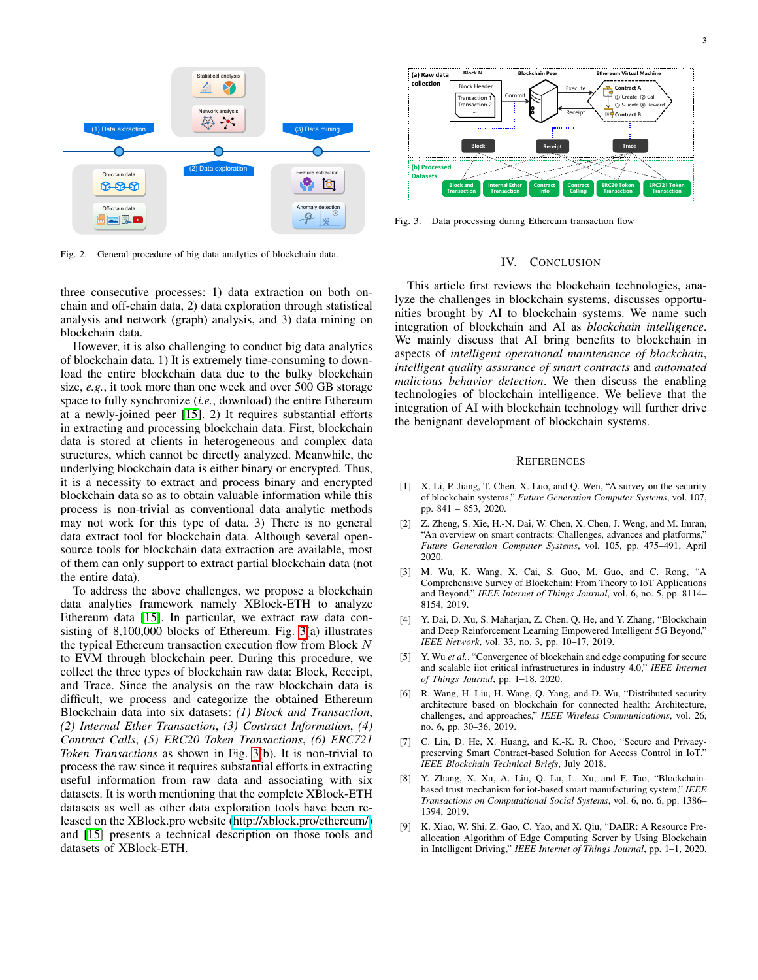



<span id="page-2-9"></span>Fig. 2. General procedure of big data analytics of blockchain data.

three consecutive processes: 1) data extraction on both onchain and off-chain data, 2) data exploration through statistical analysis and network (graph) analysis, and 3) data mining on blockchain data.

However, it is also challenging to conduct big data analytics of blockchain data. 1) It is extremely time-consuming to download the entire blockchain data due to the bulky blockchain size, *e.g.*, it took more than one week and over 500 GB storage space to fully synchronize (*i.e.*, download) the entire Ethereum at a newly-joined peer [\[15\]](#page-3-5). 2) It requires substantial efforts in extracting and processing blockchain data. First, blockchain data is stored at clients in heterogeneous and complex data structures, which cannot be directly analyzed. Meanwhile, the underlying blockchain data is either binary or encrypted. Thus, it is a necessity to extract and process binary and encrypted blockchain data so as to obtain valuable information while this process is non-trivial as conventional data analytic methods may not work for this type of data. 3) There is no general data extract tool for blockchain data. Although several opensource tools for blockchain data extraction are available, most of them can only support to extract partial blockchain data (not the entire data).

To address the above challenges, we propose a blockchain data analytics framework namely XBlock-ETH to analyze Ethereum data [\[15\]](#page-3-5). In particular, we extract raw data consisting of 8,100,000 blocks of Ethereum. Fig. [3\(](#page-2-10)a) illustrates the typical Ethereum transaction execution flow from Block  $N$ to EVM through blockchain peer. During this procedure, we collect the three types of blockchain raw data: Block, Receipt, and Trace. Since the analysis on the raw blockchain data is difficult, we process and categorize the obtained Ethereum Blockchain data into six datasets: *(1) Block and Transaction*, *(2) Internal Ether Transaction*, *(3) Contract Information*, *(4) Contract Calls*, *(5) ERC20 Token Transactions*, *(6) ERC721 Token Transactions* as shown in Fig. [3\(](#page-2-10)b). It is non-trivial to process the raw since it requires substantial efforts in extracting useful information from raw data and associating with six datasets. It is worth mentioning that the complete XBlock-ETH datasets as well as other data exploration tools have been released on the XBlock.pro website [\(http://xblock.pro/ethereum/\)](http://xblock.pro/ethereum/) and [\[15\]](#page-3-5) presents a technical description on those tools and datasets of XBlock-ETH.



<span id="page-2-10"></span>Fig. 3. Data processing during Ethereum transaction flow

#### IV. CONCLUSION

This article first reviews the blockchain technologies, analyze the challenges in blockchain systems, discusses opportunities brought by AI to blockchain systems. We name such integration of blockchain and AI as *blockchain intelligence*. We mainly discuss that AI bring benefits to blockchain in aspects of *intelligent operational maintenance of blockchain*, *intelligent quality assurance of smart contracts* and *automated malicious behavior detection*. We then discuss the enabling technologies of blockchain intelligence. We believe that the integration of AI with blockchain technology will further drive the benignant development of blockchain systems.

## **REFERENCES**

- <span id="page-2-0"></span>[1] X. Li, P. Jiang, T. Chen, X. Luo, and Q. Wen, "A survey on the security of blockchain systems," *Future Generation Computer Systems*, vol. 107, pp. 841 – 853, 2020.
- <span id="page-2-1"></span>[2] Z. Zheng, S. Xie, H.-N. Dai, W. Chen, X. Chen, J. Weng, and M. Imran, "An overview on smart contracts: Challenges, advances and platforms," *Future Generation Computer Systems*, vol. 105, pp. 475–491, April 2020.
- <span id="page-2-2"></span>[3] M. Wu, K. Wang, X. Cai, S. Guo, M. Guo, and C. Rong, "A Comprehensive Survey of Blockchain: From Theory to IoT Applications and Beyond," *IEEE Internet of Things Journal*, vol. 6, no. 5, pp. 8114– 8154, 2019.
- <span id="page-2-3"></span>[4] Y. Dai, D. Xu, S. Maharjan, Z. Chen, Q. He, and Y. Zhang, "Blockchain and Deep Reinforcement Learning Empowered Intelligent 5G Beyond," *IEEE Network*, vol. 33, no. 3, pp. 10–17, 2019.
- <span id="page-2-4"></span>[5] Y. Wu *et al.*, "Convergence of blockchain and edge computing for secure and scalable iiot critical infrastructures in industry 4.0," *IEEE Internet of Things Journal*, pp. 1–18, 2020.
- <span id="page-2-5"></span>[6] R. Wang, H. Liu, H. Wang, Q. Yang, and D. Wu, "Distributed security architecture based on blockchain for connected health: Architecture, challenges, and approaches," *IEEE Wireless Communications*, vol. 26, no. 6, pp. 30–36, 2019.
- <span id="page-2-6"></span>[7] C. Lin, D. He, X. Huang, and K.-K. R. Choo, "Secure and Privacypreserving Smart Contract-based Solution for Access Control in IoT," *IEEE Blockchain Technical Briefs*, July 2018.
- <span id="page-2-7"></span>[8] Y. Zhang, X. Xu, A. Liu, Q. Lu, L. Xu, and F. Tao, "Blockchainbased trust mechanism for iot-based smart manufacturing system," *IEEE Transactions on Computational Social Systems*, vol. 6, no. 6, pp. 1386– 1394, 2019.
- <span id="page-2-8"></span>[9] K. Xiao, W. Shi, Z. Gao, C. Yao, and X. Qiu, "DAER: A Resource Preallocation Algorithm of Edge Computing Server by Using Blockchain in Intelligent Driving," *IEEE Internet of Things Journal*, pp. 1–1, 2020.